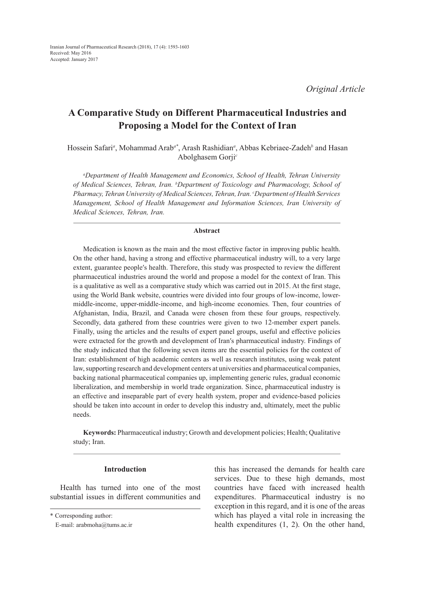*Original Article*

# **A Comparative Study on Different Pharmaceutical Industries and Proposing a Model for the Context of Iran**

Hossein Safari*<sup>a</sup>* , Mohammad Arab*a\**, Arash Rashidian*<sup>a</sup>* , Abbas Kebriaee-Zadeh*<sup>b</sup>* and Hasan Abolghasem Gorji*<sup>c</sup>*

*a Department of Health Management and Economics, School of Health, Tehran University of Medical Sciences, Tehran, Iran. b Department of Toxicology and Pharmacology, School of Pharmacy, Tehran University of Medical Sciences, Tehran, Iran. c Department of Health Services Management, School of Health Management and Information Sciences, Iran University of Medical Sciences, Tehran, Iran.*

## **Abstract**

Medication is known as the main and the most effective factor in improving public health. On the other hand, having a strong and effective pharmaceutical industry will, to a very large extent, guarantee people′s health. Therefore, this study was prospected to review the different pharmaceutical industries around the world and propose a model for the context of Iran. This is a qualitative as well as a comparative study which was carried out in 2015. At the first stage, using the World Bank website, countries were divided into four groups of low-income, lowermiddle-income, upper-middle-income, and high-income economies. Then, four countries of Afghanistan, India, Brazil, and Canada were chosen from these four groups, respectively. Secondly, data gathered from these countries were given to two 12-member expert panels. Finally, using the articles and the results of expert panel groups, useful and effective policies were extracted for the growth and development of Iran′s pharmaceutical industry. Findings of the study indicated that the following seven items are the essential policies for the context of Iran: establishment of high academic centers as well as research institutes, using weak patent law, supporting research and development centers at universities and pharmaceutical companies, backing national pharmaceutical companies up, implementing generic rules, gradual economic liberalization, and membership in world trade organization. Since, pharmaceutical industry is an effective and inseparable part of every health system, proper and evidence-based policies should be taken into account in order to develop this industry and, ultimately, meet the public needs.

**Keywords:** Pharmaceutical industry; Growth and development policies; Health; Qualitative study; Iran.

### **Introduction**

Health has turned into one of the most substantial issues in different communities and this has increased the demands for health care services. Due to these high demands, most countries have faced with increased health expenditures. Pharmaceutical industry is no exception in this regard, and it is one of the areas which has played a vital role in increasing the health expenditures (1, 2). On the other hand,

<sup>\*</sup> Corresponding author:

E-mail: arabmoha@tums.ac.ir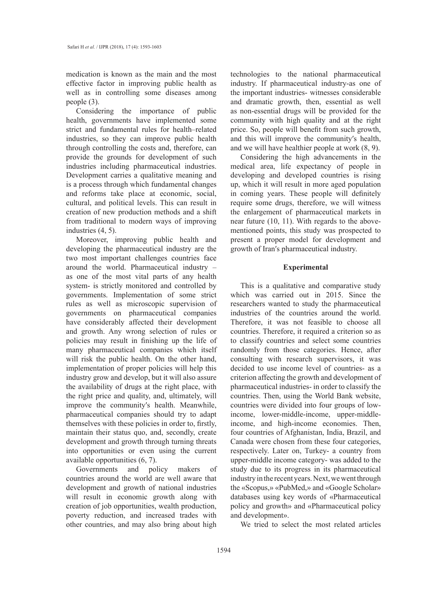medication is known as the main and the most effective factor in improving public health as well as in controlling some diseases among people (3).

Considering the importance of public health, governments have implemented some strict and fundamental rules for health–related industries, so they can improve public health through controlling the costs and, therefore, can provide the grounds for development of such industries including pharmaceutical industries. Development carries a qualitative meaning and is a process through which fundamental changes and reforms take place at economic, social, cultural, and political levels. This can result in creation of new production methods and a shift from traditional to modern ways of improving industries (4, 5).

Moreover, improving public health and developing the pharmaceutical industry are the two most important challenges countries face around the world. Pharmaceutical industry – as one of the most vital parts of any health system- is strictly monitored and controlled by governments. Implementation of some strict rules as well as microscopic supervision of governments on pharmaceutical companies have considerably affected their development and growth. Any wrong selection of rules or policies may result in finishing up the life of many pharmaceutical companies which itself will risk the public health. On the other hand, implementation of proper policies will help this industry grow and develop, but it will also assure the availability of drugs at the right place, with the right price and quality, and, ultimately, will improve the community′s health. Meanwhile, pharmaceutical companies should try to adapt themselves with these policies in order to, firstly, maintain their status quo, and, secondly, create development and growth through turning threats into opportunities or even using the current available opportunities (6, 7).

Governments and policy makers of countries around the world are well aware that development and growth of national industries will result in economic growth along with creation of job opportunities, wealth production, poverty reduction, and increased trades with other countries, and may also bring about high technologies to the national pharmaceutical industry. If pharmaceutical industry-as one of the important industries- witnesses considerable and dramatic growth, then, essential as well as non-essential drugs will be provided for the community with high quality and at the right price. So, people will benefit from such growth, and this will improve the community′s health, and we will have healthier people at work (8, 9).

Considering the high advancements in the medical area, life expectancy of people in developing and developed countries is rising up, which it will result in more aged population in coming years. These people will definitely require some drugs, therefore, we will witness the enlargement of pharmaceutical markets in near future (10, 11). With regards to the abovementioned points, this study was prospected to present a proper model for development and growth of Iran′s pharmaceutical industry.

### **Experimental**

This is a qualitative and comparative study which was carried out in 2015. Since the researchers wanted to study the pharmaceutical industries of the countries around the world. Therefore, it was not feasible to choose all countries. Therefore, it required a criterion so as to classify countries and select some countries randomly from those categories. Hence, after consulting with research supervisors, it was decided to use income level of countries- as a criterion affecting the growth and development of pharmaceutical industries- in order to classify the countries. Then, using the World Bank website, countries were divided into four groups of lowincome, lower-middle-income, upper-middleincome, and high-income economies. Then, four countries of Afghanistan, India, Brazil, and Canada were chosen from these four categories, respectively. Later on, Turkey- a country from upper-middle income category- was added to the study due to its progress in its pharmaceutical industry in the recent years. Next, we went through the «Scopus,» «PubMed,» and «Google Scholar» databases using key words of «Pharmaceutical policy and growth» and «Pharmaceutical policy and development».

We tried to select the most related articles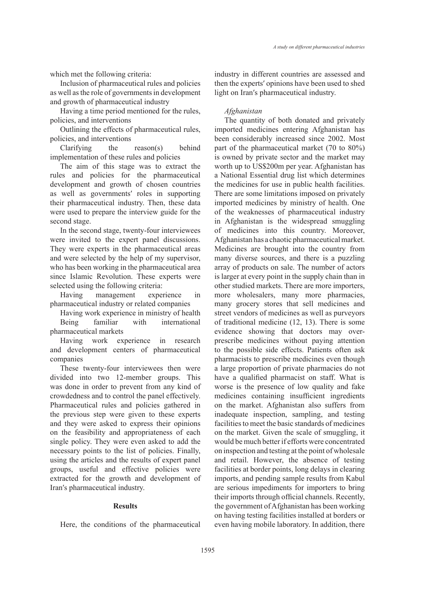which met the following criteria:

Inclusion of pharmaceutical rules and policies as well as the role of governments in development and growth of pharmaceutical industry

Having a time period mentioned for the rules, policies, and interventions

Outlining the effects of pharmaceutical rules, policies, and interventions

Clarifying the reason(s) behind implementation of these rules and policies

The aim of this stage was to extract the rules and policies for the pharmaceutical development and growth of chosen countries as well as governments′ roles in supporting their pharmaceutical industry. Then, these data were used to prepare the interview guide for the second stage.

In the second stage, twenty-four interviewees were invited to the expert panel discussions. They were experts in the pharmaceutical areas and were selected by the help of my supervisor, who has been working in the pharmaceutical area since Islamic Revolution. These experts were selected using the following criteria:

Having management experience in pharmaceutical industry or related companies

Having work experience in ministry of health Being familiar with international pharmaceutical markets

Having work experience in research and development centers of pharmaceutical companies

These twenty-four interviewees then were divided into two 12-member groups. This was done in order to prevent from any kind of crowdedness and to control the panel effectively. Pharmaceutical rules and policies gathered in the previous step were given to these experts and they were asked to express their opinions on the feasibility and appropriateness of each single policy. They were even asked to add the necessary points to the list of policies. Finally, using the articles and the results of expert panel groups, useful and effective policies were extracted for the growth and development of Iran′s pharmaceutical industry.

### **Results**

Here, the conditions of the pharmaceutical

industry in different countries are assessed and then the experts′ opinions have been used to shed light on Iran′s pharmaceutical industry.

### *Afghanistan*

The quantity of both donated and privately imported medicines entering Afghanistan has been considerably increased since 2002. Most part of the pharmaceutical market (70 to 80%) is owned by private sector and the market may worth up to US\$200m per year. Afghanistan has a National Essential drug list which determines the medicines for use in public health facilities. There are some limitations imposed on privately imported medicines by ministry of health. One of the weaknesses of pharmaceutical industry in Afghanistan is the widespread smuggling of medicines into this country. Moreover, Afghanistan has a chaotic pharmaceutical market. Medicines are brought into the country from many diverse sources, and there is a puzzling array of products on sale. The number of actors is larger at every point in the supply chain than in other studied markets. There are more importers, more wholesalers, many more pharmacies, many grocery stores that sell medicines and street vendors of medicines as well as purveyors of traditional medicine (12, 13). There is some evidence showing that doctors may overprescribe medicines without paying attention to the possible side effects. Patients often ask pharmacists to prescribe medicines even though a large proportion of private pharmacies do not have a qualified pharmacist on staff. What is worse is the presence of low quality and fake medicines containing insufficient ingredients on the market. Afghanistan also suffers from inadequate inspection, sampling, and testing facilities to meet the basic standards of medicines on the market. Given the scale of smuggling, it would be much better if efforts were concentrated on inspection and testing at the point of wholesale and retail. However, the absence of testing facilities at border points, long delays in clearing imports, and pending sample results from Kabul are serious impediments for importers to bring their imports through official channels. Recently, the government of Afghanistan has been working on having testing facilities installed at borders or even having mobile laboratory. In addition, there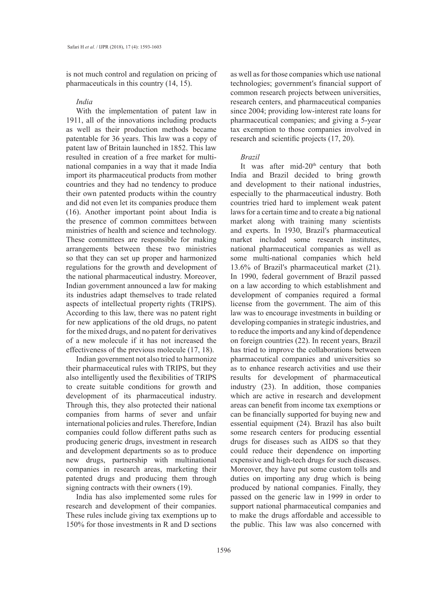is not much control and regulation on pricing of pharmaceuticals in this country (14, 15).

### *India*

With the implementation of patent law in 1911, all of the innovations including products as well as their production methods became patentable for 36 years. This law was a copy of patent law of Britain launched in 1852. This law resulted in creation of a free market for multinational companies in a way that it made India import its pharmaceutical products from mother countries and they had no tendency to produce their own patented products within the country and did not even let its companies produce them (16). Another important point about India is the presence of common committees between ministries of health and science and technology. These committees are responsible for making arrangements between these two ministries so that they can set up proper and harmonized regulations for the growth and development of the national pharmaceutical industry. Moreover, Indian government announced a law for making its industries adapt themselves to trade related aspects of intellectual property rights (TRIPS). According to this law, there was no patent right for new applications of the old drugs, no patent for the mixed drugs, and no patent for derivatives of a new molecule if it has not increased the effectiveness of the previous molecule (17, 18).

Indian government not also tried to harmonize their pharmaceutical rules with TRIPS, but they also intelligently used the flexibilities of TRIPS to create suitable conditions for growth and development of its pharmaceutical industry. Through this, they also protected their national companies from harms of sever and unfair international policies and rules. Therefore, Indian companies could follow different paths such as producing generic drugs, investment in research and development departments so as to produce new drugs, partnership with multinational companies in research areas, marketing their patented drugs and producing them through signing contracts with their owners (19).

India has also implemented some rules for research and development of their companies. These rules include giving tax exemptions up to 150% for those investments in R and D sections

as well as for those companies which use national technologies; government′s financial support of common research projects between universities, research centers, and pharmaceutical companies since 2004; providing low-interest rate loans for pharmaceutical companies; and giving a 5-year tax exemption to those companies involved in research and scientific projects (17, 20).

### *Brazil*

It was after  $mid-20<sup>th</sup>$  century that both India and Brazil decided to bring growth and development to their national industries, especially to the pharmaceutical industry. Both countries tried hard to implement weak patent laws for a certain time and to create a big national market along with training many scientists and experts. In 1930, Brazil′s pharmaceutical market included some research institutes, national pharmaceutical companies as well as some multi-national companies which held 13.6% of Brazil′s pharmaceutical market (21). In 1990, federal government of Brazil passed on a law according to which establishment and development of companies required a formal license from the government. The aim of this law was to encourage investments in building or developing companies in strategic industries, and to reduce the imports and any kind of dependence on foreign countries (22). In recent years, Brazil has tried to improve the collaborations between pharmaceutical companies and universities so as to enhance research activities and use their results for development of pharmaceutical industry (23). In addition, those companies which are active in research and development areas can benefit from income tax exemptions or can be financially supported for buying new and essential equipment (24). Brazil has also built some research centers for producing essential drugs for diseases such as AIDS so that they could reduce their dependence on importing expensive and high-tech drugs for such diseases. Moreover, they have put some custom tolls and duties on importing any drug which is being produced by national companies. Finally, they passed on the generic law in 1999 in order to support national pharmaceutical companies and to make the drugs affordable and accessible to the public. This law was also concerned with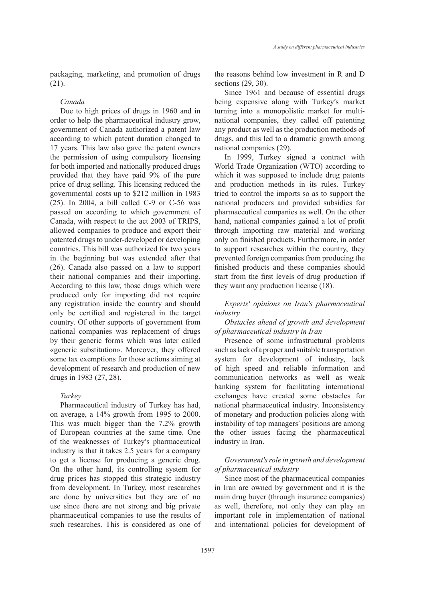packaging, marketing, and promotion of drugs (21).

### *Canada*

Due to high prices of drugs in 1960 and in order to help the pharmaceutical industry grow, government of Canada authorized a patent law according to which patent duration changed to 17 years. This law also gave the patent owners the permission of using compulsory licensing for both imported and nationally produced drugs provided that they have paid 9% of the pure price of drug selling. This licensing reduced the governmental costs up to \$212 million in 1983 (25). In 2004, a bill called C-9 or C-56 was passed on according to which government of Canada, with respect to the act 2003 of TRIPS, allowed companies to produce and export their patented drugs to under-developed or developing countries. This bill was authorized for two years in the beginning but was extended after that (26). Canada also passed on a law to support their national companies and their importing. According to this law, those drugs which were produced only for importing did not require any registration inside the country and should only be certified and registered in the target country. Of other supports of government from national companies was replacement of drugs by their generic forms which was later called «generic substitution». Moreover, they offered some tax exemptions for those actions aiming at development of research and production of new drugs in 1983 (27, 28).

### *Turkey*

Pharmaceutical industry of Turkey has had, on average, a 14% growth from 1995 to 2000. This was much bigger than the 7.2% growth of European countries at the same time. One of the weaknesses of Turkey′s pharmaceutical industry is that it takes 2.5 years for a company to get a license for producing a generic drug. On the other hand, its controlling system for drug prices has stopped this strategic industry from development. In Turkey, most researches are done by universities but they are of no use since there are not strong and big private pharmaceutical companies to use the results of such researches. This is considered as one of the reasons behind low investment in R and D sections (29, 30).

Since 1961 and because of essential drugs being expensive along with Turkey′s market turning into a monopolistic market for multinational companies, they called off patenting any product as well as the production methods of drugs, and this led to a dramatic growth among national companies (29).

In 1999, Turkey signed a contract with World Trade Organization (WTO) according to which it was supposed to include drug patents and production methods in its rules. Turkey tried to control the imports so as to support the national producers and provided subsidies for pharmaceutical companies as well. On the other hand, national companies gained a lot of profit through importing raw material and working only on finished products. Furthermore, in order to support researches within the country, they prevented foreign companies from producing the finished products and these companies should start from the first levels of drug production if they want any production license (18).

# *Experts′ opinions on Iran′s pharmaceutical industry*

# *Obstacles ahead of growth and development of pharmaceutical industry in Iran*

Presence of some infrastructural problems such as lack of a proper and suitable transportation system for development of industry, lack of high speed and reliable information and communication networks as well as weak banking system for facilitating international exchanges have created some obstacles for national pharmaceutical industry. Inconsistency of monetary and production policies along with instability of top managers′ positions are among the other issues facing the pharmaceutical industry in Iran.

# *Government′s role in growth and development of pharmaceutical industry*

Since most of the pharmaceutical companies in Iran are owned by government and it is the main drug buyer (through insurance companies) as well, therefore, not only they can play an important role in implementation of national and international policies for development of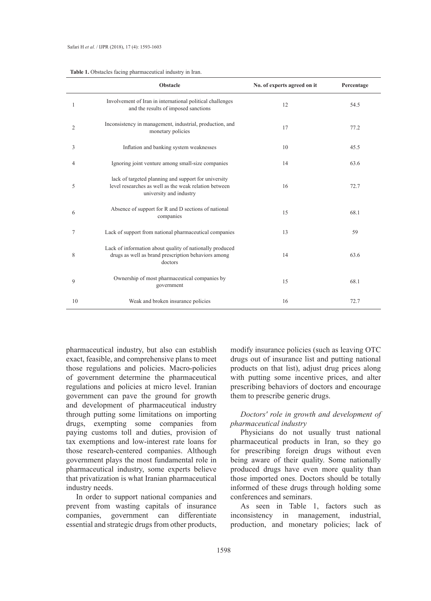|    | <b>Obstacle</b>                                                                                                                          | No. of experts agreed on it | Percentage |
|----|------------------------------------------------------------------------------------------------------------------------------------------|-----------------------------|------------|
| 1  | Involvement of Iran in international political challenges<br>and the results of imposed sanctions                                        | 12                          | 54.5       |
| 2  | Inconsistency in management, industrial, production, and<br>monetary policies                                                            | 17                          | 77.2       |
| 3  | Inflation and banking system weaknesses                                                                                                  | 10                          | 45.5       |
| 4  | Ignoring joint venture among small-size companies                                                                                        | 14                          | 63.6       |
| 5  | lack of targeted planning and support for university<br>level researches as well as the weak relation between<br>university and industry | 16                          | 72.7       |
| 6  | Absence of support for R and D sections of national<br>companies                                                                         | 15                          | 68.1       |
| 7  | Lack of support from national pharmaceutical companies                                                                                   | 13                          | 59         |
| 8  | Lack of information about quality of nationally produced<br>drugs as well as brand prescription behaviors among<br>doctors               | 14                          | 63.6       |
| 9  | Ownership of most pharmaceutical companies by<br>government                                                                              | 15                          | 68.1       |
| 10 | Weak and broken insurance policies                                                                                                       | 16                          | 72.7       |

| Table 1. Obstacles facing pharmaceutical industry in Iran. |  |  |  |  |
|------------------------------------------------------------|--|--|--|--|
|------------------------------------------------------------|--|--|--|--|

pharmaceutical industry, but also can establish exact, feasible, and comprehensive plans to meet those regulations and policies. Macro-policies of government determine the pharmaceutical regulations and policies at micro level. Iranian government can pave the ground for growth and development of pharmaceutical industry through putting some limitations on importing drugs, exempting some companies from paying customs toll and duties, provision of tax exemptions and low-interest rate loans for those research-centered companies. Although government plays the most fundamental role in pharmaceutical industry, some experts believe that privatization is what Iranian pharmaceutical industry needs.

In order to support national companies and prevent from wasting capitals of insurance companies, government can differentiate essential and strategic drugs from other products, modify insurance policies (such as leaving OTC drugs out of insurance list and putting national products on that list), adjust drug prices along with putting some incentive prices, and alter prescribing behaviors of doctors and encourage them to prescribe generic drugs.

# *Doctors′ role in growth and development of pharmaceutical industry*

Physicians do not usually trust national pharmaceutical products in Iran, so they go for prescribing foreign drugs without even being aware of their quality. Some nationally produced drugs have even more quality than those imported ones. Doctors should be totally informed of these drugs through holding some conferences and seminars.

As seen in Table 1, factors such as inconsistency in management, industrial, production, and monetary policies; lack of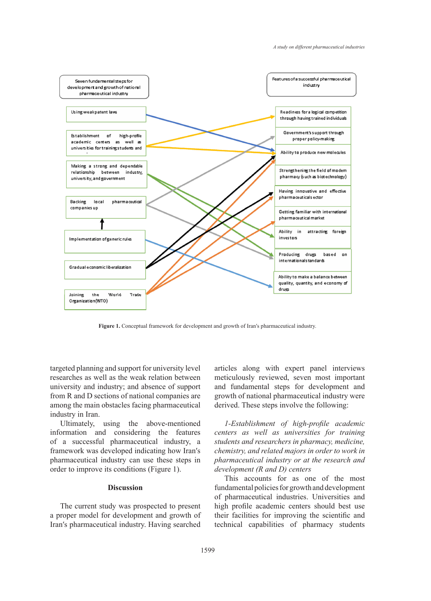

**Figure 1.** Conceptual framework for development and growth of Iran′s pharmaceutical industry.

targeted planning and support for university level researches as well as the weak relation between university and industry; and absence of support from R and D sections of national companies are among the main obstacles facing pharmaceutical industry in Iran.

Ultimately, using the above-mentioned information and considering the features of a successful pharmaceutical industry, a framework was developed indicating how Iran′s pharmaceutical industry can use these steps in order to improve its conditions (Figure 1).

## **Discussion**

The current study was prospected to present a proper model for development and growth of Iran′s pharmaceutical industry. Having searched

articles along with expert panel interviews meticulously reviewed, seven most important and industry; and absence of support and fundamental steps for development and growth of Iran's for development and panies are growth of national pharmaceutical industry were derived. These steps involve the following:

*1-Establishment of high-profile academic centers as well as universities for training*  a successful pharmaceutical industry, a *students and researchers in pharmacy, medicine*, *chemistry, and related majors in order to work in*  armaceutical industry can use these steps in pharmaceutical industry or at the research and *development (R and D) centers*

This accounts for as one of the most  $\frac{1}{2}$  reviewed,  $\frac{1}{2}$  is accounts for as one of the most fundamental policies for growth and development of pharmaceutical industries. Universities and high profile academic centers should best use their facilities for improving the scientific and technical capabilities of pharmacy students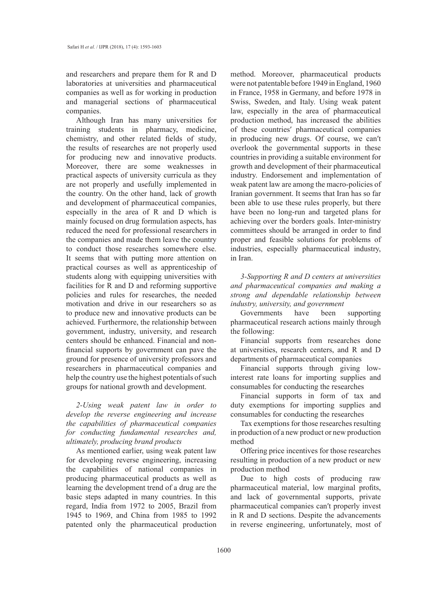and researchers and prepare them for R and D laboratories at universities and pharmaceutical companies as well as for working in production and managerial sections of pharmaceutical companies.

Although Iran has many universities for training students in pharmacy, medicine, chemistry, and other related fields of study, the results of researches are not properly used for producing new and innovative products. Moreover, there are some weaknesses in practical aspects of university curricula as they are not properly and usefully implemented in the country. On the other hand, lack of growth and development of pharmaceutical companies, especially in the area of R and D which is mainly focused on drug formulation aspects, has reduced the need for professional researchers in the companies and made them leave the country to conduct those researches somewhere else. It seems that with putting more attention on practical courses as well as apprenticeship of students along with equipping universities with facilities for R and D and reforming supportive policies and rules for researches, the needed motivation and drive in our researchers so as to produce new and innovative products can be achieved. Furthermore, the relationship between government, industry, university, and research centers should be enhanced. Financial and nonfinancial supports by government can pave the ground for presence of university professors and researchers in pharmaceutical companies and help the country use the highest potentials of such groups for national growth and development.

*2-Using weak patent law in order to develop the reverse engineering and increase the capabilities of pharmaceutical companies for conducting fundamental researches and, ultimately, producing brand products* 

As mentioned earlier, using weak patent law for developing reverse engineering, increasing the capabilities of national companies in producing pharmaceutical products as well as learning the development trend of a drug are the basic steps adapted in many countries. In this regard, India from 1972 to 2005, Brazil from 1945 to 1969, and China from 1985 to 1992 patented only the pharmaceutical production method. Moreover, pharmaceutical products were not patentable before 1949 in England, 1960 in France, 1958 in Germany, and before 1978 in Swiss, Sweden, and Italy. Using weak patent law, especially in the area of pharmaceutical production method, has increased the abilities of these countries′ pharmaceutical companies in producing new drugs. Of course, we can′t overlook the governmental supports in these countries in providing a suitable environment for growth and development of their pharmaceutical industry. Endorsement and implementation of weak patent law are among the macro-policies of Iranian government. It seems that Iran has so far been able to use these rules properly, but there have been no long-run and targeted plans for achieving over the borders goals. Inter-ministry committees should be arranged in order to find proper and feasible solutions for problems of industries, especially pharmaceutical industry, in Iran.

*3-Supporting R and D centers at universities and pharmaceutical companies and making a strong and dependable relationship between industry, university, and government*

Governments have been supporting pharmaceutical research actions mainly through the following:

Financial supports from researches done at universities, research centers, and R and D departments of pharmaceutical companies

Financial supports through giving lowinterest rate loans for importing supplies and consumables for conducting the researches

Financial supports in form of tax and duty exemptions for importing supplies and consumables for conducting the researches

Tax exemptions for those researches resulting in production of a new product or new production method

Offering price incentives for those researches resulting in production of a new product or new production method

Due to high costs of producing raw pharmaceutical material, low marginal profits, and lack of governmental supports, private pharmaceutical companies can′t properly invest in R and D sections. Despite the advancements in reverse engineering, unfortunately, most of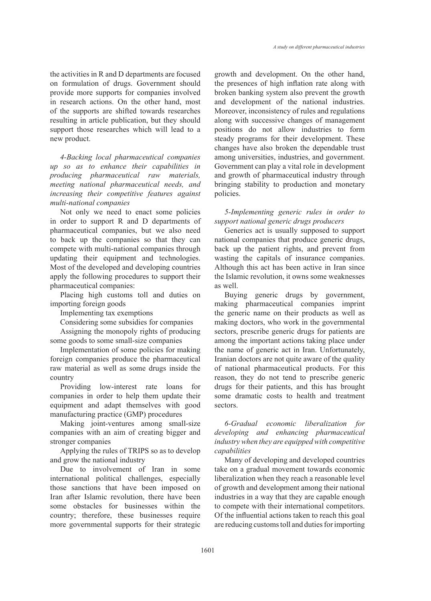the activities in R and D departments are focused on formulation of drugs. Government should provide more supports for companies involved in research actions. On the other hand, most of the supports are shifted towards researches resulting in article publication, but they should support those researches which will lead to a new product.

*4-Backing local pharmaceutical companies up so as to enhance their capabilities in producing pharmaceutical raw materials, meeting national pharmaceutical needs, and increasing their competitive features against multi-national companies*

Not only we need to enact some policies in order to support R and D departments of pharmaceutical companies, but we also need to back up the companies so that they can compete with multi-national companies through updating their equipment and technologies. Most of the developed and developing countries apply the following procedures to support their pharmaceutical companies:

Placing high customs toll and duties on importing foreign goods

Implementing tax exemptions

Considering some subsidies for companies

Assigning the monopoly rights of producing some goods to some small-size companies

Implementation of some policies for making foreign companies produce the pharmaceutical raw material as well as some drugs inside the country

Providing low-interest rate loans for companies in order to help them update their equipment and adapt themselves with good manufacturing practice (GMP) procedures

Making joint-ventures among small-size companies with an aim of creating bigger and stronger companies

Applying the rules of TRIPS so as to develop and grow the national industry

Due to involvement of Iran in some international political challenges, especially those sanctions that have been imposed on Iran after Islamic revolution, there have been some obstacles for businesses within the country; therefore, these businesses require more governmental supports for their strategic growth and development. On the other hand, the presences of high inflation rate along with broken banking system also prevent the growth and development of the national industries. Moreover, inconsistency of rules and regulations along with successive changes of management positions do not allow industries to form steady programs for their development. These changes have also broken the dependable trust among universities, industries, and government. Government can play a vital role in development and growth of pharmaceutical industry through bringing stability to production and monetary policies.

# *5-Implementing generic rules in order to support national generic drugs producers*

Generics act is usually supposed to support national companies that produce generic drugs, back up the patient rights, and prevent from wasting the capitals of insurance companies. Although this act has been active in Iran since the Islamic revolution, it owns some weaknesses as well.

Buying generic drugs by government, making pharmaceutical companies imprint the generic name on their products as well as making doctors, who work in the governmental sectors, prescribe generic drugs for patients are among the important actions taking place under the name of generic act in Iran. Unfortunately, Iranian doctors are not quite aware of the quality of national pharmaceutical products. For this reason, they do not tend to prescribe generic drugs for their patients, and this has brought some dramatic costs to health and treatment sectors.

*6-Gradual economic liberalization for developing and enhancing pharmaceutical industry when they are equipped with competitive capabilities*

Many of developing and developed countries take on a gradual movement towards economic liberalization when they reach a reasonable level of growth and development among their national industries in a way that they are capable enough to compete with their international competitors. Of the influential actions taken to reach this goal are reducing customs toll and duties for importing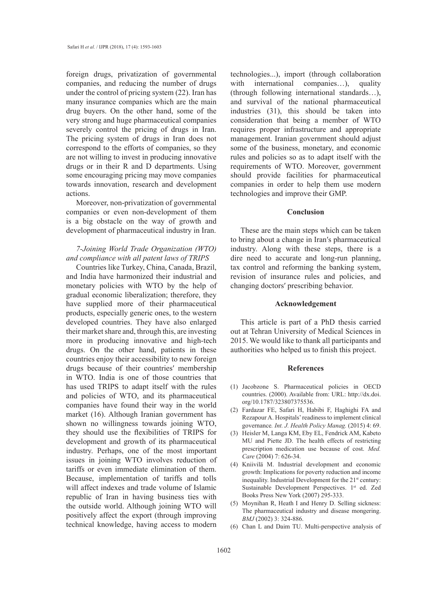foreign drugs, privatization of governmental companies, and reducing the number of drugs under the control of pricing system (22). Iran has many insurance companies which are the main drug buyers. On the other hand, some of the very strong and huge pharmaceutical companies severely control the pricing of drugs in Iran. The pricing system of drugs in Iran does not correspond to the efforts of companies, so they are not willing to invest in producing innovative drugs or in their R and D departments. Using some encouraging pricing may move companies towards innovation, research and development actions.

Moreover, non-privatization of governmental companies or even non-development of them is a big obstacle on the way of growth and development of pharmaceutical industry in Iran.

# *7-Joining World Trade Organization (WTO) and compliance with all patent laws of TRIPS*

Countries like Turkey, China, Canada, Brazil, and India have harmonized their industrial and monetary policies with WTO by the help of gradual economic liberalization; therefore, they have supplied more of their pharmaceutical products, especially generic ones, to the western developed countries. They have also enlarged their market share and, through this, are investing more in producing innovative and high-tech drugs. On the other hand, patients in these countries enjoy their accessibility to new foreign drugs because of their countries′ membership in WTO. India is one of those countries that has used TRIPS to adapt itself with the rules and policies of WTO, and its pharmaceutical companies have found their way in the world market (16). Although Iranian government has shown no willingness towards joining WTO, they should use the flexibilities of TRIPS for development and growth of its pharmaceutical industry. Perhaps, one of the most important issues in joining WTO involves reduction of tariffs or even immediate elimination of them. Because, implementation of tariffs and tolls will affect indexes and trade volume of Islamic republic of Iran in having business ties with the outside world. Although joining WTO will positively affect the export (through improving technical knowledge, having access to modern technologies...), import (through collaboration with international companies...), quality (through following international standards…), and survival of the national pharmaceutical industries (31), this should be taken into consideration that being a member of WTO requires proper infrastructure and appropriate management. Iranian government should adjust some of the business, monetary, and economic rules and policies so as to adapt itself with the requirements of WTO. Moreover, government should provide facilities for pharmaceutical companies in order to help them use modern technologies and improve their GMP.

### **Conclusion**

These are the main steps which can be taken to bring about a change in Iran′s pharmaceutical industry. Along with these steps, there is a dire need to accurate and long-run planning, tax control and reforming the banking system, revision of insurance rules and policies, and changing doctors′ prescribing behavior.

### **Acknowledgement**

This article is part of a PhD thesis carried out at Tehran University of Medical Sciences in 2015. We would like to thank all participants and authorities who helped us to finish this project.

#### **References**

- (1) Jacobzone S. Pharmaceutical policies in OECD countries. (2000). Available from: URL: http://dx.doi. org/10.1787/323807375536.
- Fardazar FE, Safari H, Habibi F, Haghighi FA and (2) Rezapour A. Hospitals' readiness to implement clinical governance*. Int. J. Health Policy Manag.* (2015) 4: 69.
- (3) Heisler M, Langa KM, Eby EL, Fendrick AM, Kabeto MU and Piette JD. The health effects of restricting prescription medication use because of cost. *Med. Care* (2004) 7: 626-34.
- Kniivilä M. Industrial development and economic (4) growth: Implications for poverty reduction and income inequality. Industrial Development for the 21<sup>st</sup> century: Sustainable Development Perspectives. 1<sup>st</sup> ed. Zed Books Press New York (2007) 295-333.
- (5) Moynihan R, Heath I and Henry D. Selling sickness: The pharmaceutical industry and disease mongering. *BMJ* (2002) 3: 324-886.
- (6) Chan L and Daim TU. Multi-perspective analysis of